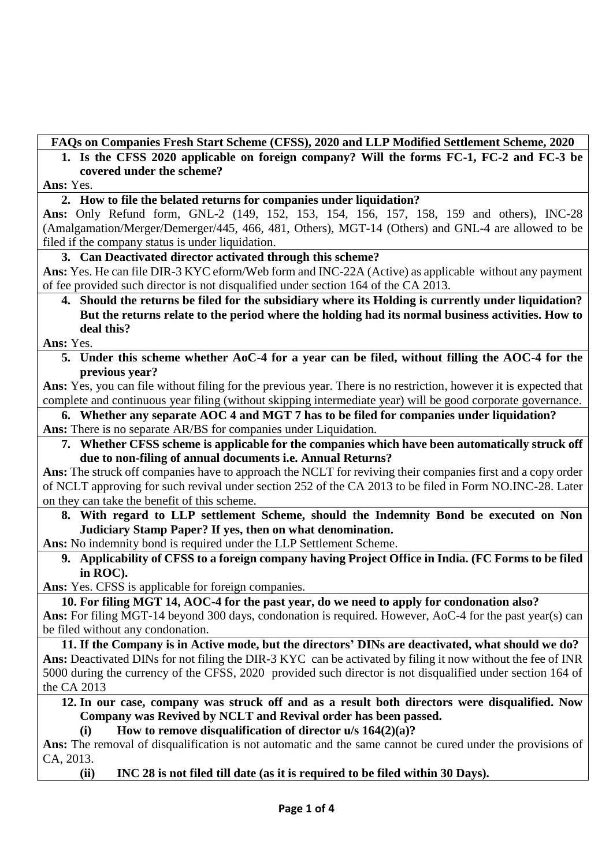**FAQs on Companies Fresh Start Scheme (CFSS), 2020 and LLP Modified Settlement Scheme, 2020**

- **1. Is the CFSS 2020 applicable on foreign company? Will the forms FC-1, FC-2 and FC-3 be covered under the scheme?**
- **Ans:** Yes.
	- **2. How to file the belated returns for companies under liquidation?**

**Ans:** Only Refund form, GNL-2 (149, 152, 153, 154, 156, 157, 158, 159 and others), INC-28 (Amalgamation/Merger/Demerger/445, 466, 481, Others), MGT-14 (Others) and GNL-4 are allowed to be filed if the company status is under liquidation.

**3. Can Deactivated director activated through this scheme?**

**Ans:** Yes. He can file DIR-3 KYC eform/Web form and INC-22A (Active) as applicable without any payment of fee provided such director is not disqualified under section 164 of the CA 2013.

**4. Should the returns be filed for the subsidiary where its Holding is currently under liquidation? But the returns relate to the period where the holding had its normal business activities. How to deal this?**

**Ans:** Yes.

**5. Under this scheme whether AoC-4 for a year can be filed, without filling the AOC-4 for the previous year?** 

**Ans:** Yes, you can file without filing for the previous year. There is no restriction, however it is expected that complete and continuous year filing (without skipping intermediate year) will be good corporate governance.

**6. Whether any separate AOC 4 and MGT 7 has to be filed for companies under liquidation?**

**Ans:** There is no separate AR/BS for companies under Liquidation.

**7. Whether CFSS scheme is applicable for the companies which have been automatically struck off due to non-filing of annual documents i.e. Annual Returns?**

**Ans:** The struck off companies have to approach the NCLT for reviving their companies first and a copy order of NCLT approving for such revival under section 252 of the CA 2013 to be filed in Form NO.INC-28. Later on they can take the benefit of this scheme.

**8. With regard to LLP settlement Scheme, should the Indemnity Bond be executed on Non Judiciary Stamp Paper? If yes, then on what denomination.**

**Ans:** No indemnity bond is required under the LLP Settlement Scheme.

**9. Applicability of CFSS to a foreign company having Project Office in India. (FC Forms to be filed in ROC).**

**Ans:** Yes. CFSS is applicable for foreign companies.

**10. For filing MGT 14, AOC-4 for the past year, do we need to apply for condonation also? Ans:** For filing MGT-14 beyond 300 days, condonation is required. However, AoC-4 for the past year(s) can be filed without any condonation.

**11. If the Company is in Active mode, but the directors' DINs are deactivated, what should we do? Ans:** Deactivated DINs for not filing the DIR-3 KYC can be activated by filing it now without the fee of INR 5000 during the currency of the CFSS, 2020 provided such director is not disqualified under section 164 of the CA 2013

**12. In our case, company was struck off and as a result both directors were disqualified. Now Company was Revived by NCLT and Revival order has been passed.** 

**(i) How to remove disqualification of director u/s 164(2)(a)?**

**Ans:** The removal of disqualification is not automatic and the same cannot be cured under the provisions of CA, 2013.

**(ii) INC 28 is not filed till date (as it is required to be filed within 30 Days).**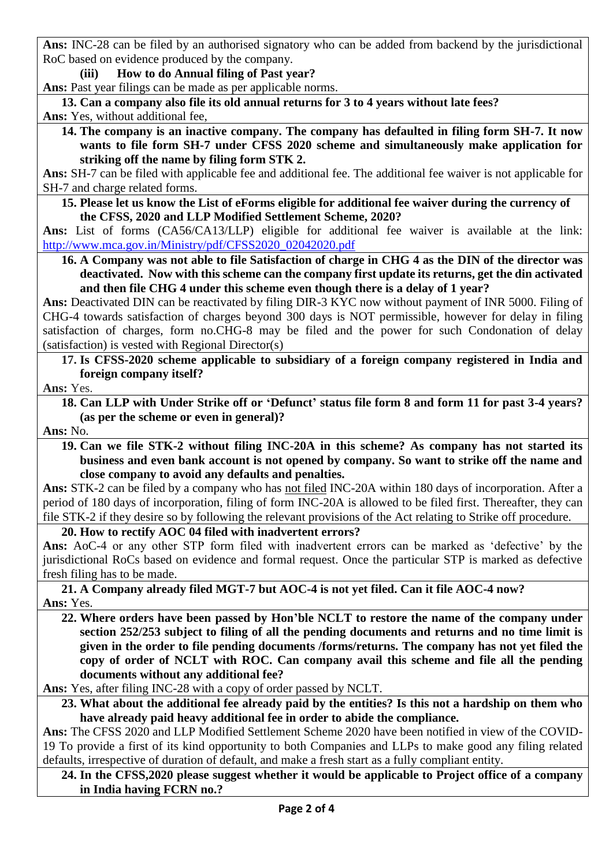**Ans:** INC-28 can be filed by an authorised signatory who can be added from backend by the jurisdictional RoC based on evidence produced by the company.

**(iii) How to do Annual filing of Past year?**

**Ans:** Past year filings can be made as per applicable norms.

**13. Can a company also file its old annual returns for 3 to 4 years without late fees? Ans:** Yes, without additional fee,

**14. The company is an inactive company. The company has defaulted in filing form SH-7. It now wants to file form SH-7 under CFSS 2020 scheme and simultaneously make application for striking off the name by filing form STK 2.** 

Ans: SH-7 can be filed with applicable fee and additional fee. The additional fee waiver is not applicable for SH-7 and charge related forms.

**15. Please let us know the List of eForms eligible for additional fee waiver during the currency of the CFSS, 2020 and LLP Modified Settlement Scheme, 2020?** 

**Ans:** List of forms (CA56/CA13/LLP) eligible for additional fee waiver is available at the link: [http://www.mca.gov.in/Ministry/pdf/CFSS2020\\_02042020.pdf](http://www.mca.gov.in/Ministry/pdf/CFSS2020_02042020.pdf)

**16. A Company was not able to file Satisfaction of charge in CHG 4 as the DIN of the director was deactivated. Now with this scheme can the company first update its returns, get the din activated and then file CHG 4 under this scheme even though there is a delay of 1 year?**

**Ans:** Deactivated DIN can be reactivated by filing DIR-3 KYC now without payment of INR 5000. Filing of CHG-4 towards satisfaction of charges beyond 300 days is NOT permissible, however for delay in filing satisfaction of charges, form no.CHG-8 may be filed and the power for such Condonation of delay (satisfaction) is vested with Regional Director(s)

## **17. Is CFSS-2020 scheme applicable to subsidiary of a foreign company registered in India and foreign company itself?**

**Ans:** Yes.

**18. Can LLP with Under Strike off or 'Defunct' status file form 8 and form 11 for past 3-4 years? (as per the scheme or even in general)?**

**Ans:** No.

**19. Can we file STK-2 without filing INC-20A in this scheme? As company has not started its business and even bank account is not opened by company. So want to strike off the name and close company to avoid any defaults and penalties.**

**Ans:** STK-2 can be filed by a company who has not filed INC-20A within 180 days of incorporation. After a period of 180 days of incorporation, filing of form INC-20A is allowed to be filed first. Thereafter, they can file STK-2 if they desire so by following the relevant provisions of the Act relating to Strike off procedure.

**20. How to rectify AOC 04 filed with inadvertent errors?**

**Ans:** AoC-4 or any other STP form filed with inadvertent errors can be marked as 'defective' by the jurisdictional RoCs based on evidence and formal request. Once the particular STP is marked as defective fresh filing has to be made.

**21. A Company already filed MGT-7 but AOC-4 is not yet filed. Can it file AOC-4 now? Ans:** Yes.

**22. Where orders have been passed by Hon'ble NCLT to restore the name of the company under section 252/253 subject to filing of all the pending documents and returns and no time limit is given in the order to file pending documents /forms/returns. The company has not yet filed the copy of order of NCLT with ROC. Can company avail this scheme and file all the pending documents without any additional fee?**

**Ans:** Yes, after filing INC-28 with a copy of order passed by NCLT.

**23. What about the additional fee already paid by the entities? Is this not a hardship on them who have already paid heavy additional fee in order to abide the compliance.**

**Ans:** The CFSS 2020 and LLP Modified Settlement Scheme 2020 have been notified in view of the COVID-19 To provide a first of its kind opportunity to both Companies and LLPs to make good any filing related defaults, irrespective of duration of default, and make a fresh start as a fully compliant entity.

**24. In the CFSS,2020 please suggest whether it would be applicable to Project office of a company in India having FCRN no.?**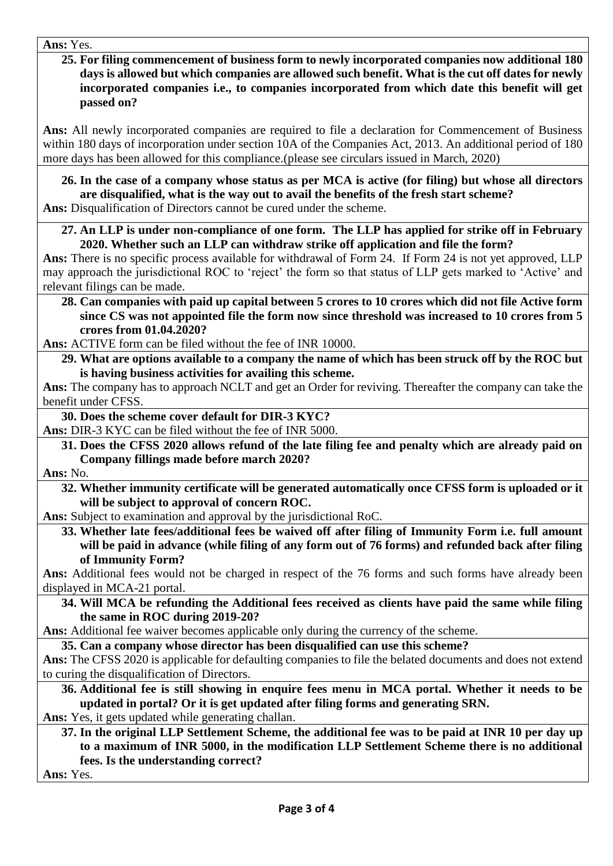**Ans:** Yes.

**25. For filing commencement of business form to newly incorporated companies now additional 180 days is allowed but which companies are allowed such benefit. What is the cut off dates for newly incorporated companies i.e., to companies incorporated from which date this benefit will get passed on?**

**Ans:** All newly incorporated companies are required to file a declaration for Commencement of Business within 180 days of incorporation under section 10A of the Companies Act, 2013. An additional period of 180 more days has been allowed for this compliance.(please see circulars issued in March, 2020)

**26. In the case of a company whose status as per MCA is active (for filing) but whose all directors are disqualified, what is the way out to avail the benefits of the fresh start scheme?**  Ans: Disqualification of Directors cannot be cured under the scheme.

**27. An LLP is under non-compliance of one form. The LLP has applied for strike off in February 2020. Whether such an LLP can withdraw strike off application and file the form?**

**Ans:** There is no specific process available for withdrawal of Form 24. If Form 24 is not yet approved, LLP may approach the jurisdictional ROC to 'reject' the form so that status of LLP gets marked to 'Active' and relevant filings can be made.

**28. Can companies with paid up capital between 5 crores to 10 crores which did not file Active form since CS was not appointed file the form now since threshold was increased to 10 crores from 5 crores from 01.04.2020?**

**Ans:** ACTIVE form can be filed without the fee of INR 10000.

**29. What are options available to a company the name of which has been struck off by the ROC but is having business activities for availing this scheme.**

**Ans:** The company has to approach NCLT and get an Order for reviving. Thereafter the company can take the benefit under CFSS.

**30. Does the scheme cover default for DIR-3 KYC?**

**Ans:** DIR-3 KYC can be filed without the fee of INR 5000.

**31. Does the CFSS 2020 allows refund of the late filing fee and penalty which are already paid on Company fillings made before march 2020?**

**Ans:** No.

**32. Whether immunity certificate will be generated automatically once CFSS form is uploaded or it will be subject to approval of concern ROC.**

**Ans:** Subject to examination and approval by the jurisdictional RoC.

**33. Whether late fees/additional fees be waived off after filing of Immunity Form i.e. full amount will be paid in advance (while filing of any form out of 76 forms) and refunded back after filing of Immunity Form?**

**Ans:** Additional fees would not be charged in respect of the 76 forms and such forms have already been displayed in MCA-21 portal.

**34. Will MCA be refunding the Additional fees received as clients have paid the same while filing the same in ROC during 2019-20?**

Ans: Additional fee waiver becomes applicable only during the currency of the scheme.

**35. Can a company whose director has been disqualified can use this scheme?**

**Ans:** The CFSS 2020 is applicable for defaulting companies to file the belated documents and does not extend to curing the disqualification of Directors.

**36. Additional fee is still showing in enquire fees menu in MCA portal. Whether it needs to be updated in portal? Or it is get updated after filing forms and generating SRN.**

Ans: Yes, it gets updated while generating challan.

**37. In the original LLP Settlement Scheme, the additional fee was to be paid at INR 10 per day up to a maximum of INR 5000, in the modification LLP Settlement Scheme there is no additional fees. Is the understanding correct?**

**Ans:** Yes.